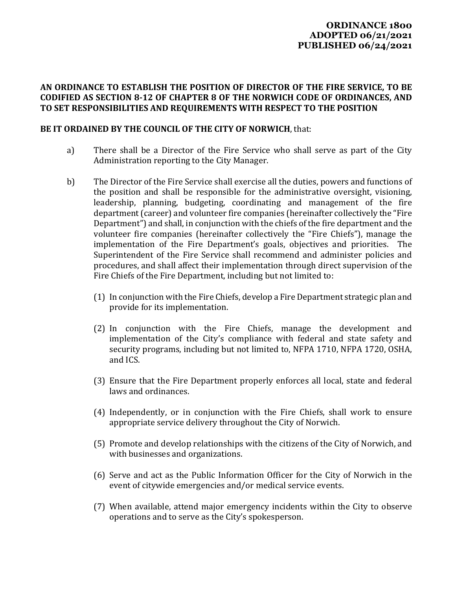## **ORDINANCE 1800 ADOPTED 06/21/2021 PUBLISHED 06/24/2021**

## **AN ORDINANCE TO ESTABLISH THE POSITION OF DIRECTOR OF THE FIRE SERVICE, TO BE CODIFIED AS SECTION 8‐12 OF CHAPTER 8 OF THE NORWICH CODE OF ORDINANCES, AND TO SET RESPONSIBILITIES AND REQUIREMENTS WITH RESPECT TO THE POSITION**

## **BE IT ORDAINED BY THE COUNCIL OF THE CITY OF NORWICH**, that:

- a) There shall be a Director of the Fire Service who shall serve as part of the City Administration reporting to the City Manager.
- b) The Director of the Fire Service shall exercise all the duties, powers and functions of the position and shall be responsible for the administrative oversight, visioning, leadership, planning, budgeting, coordinating and management of the fire department (career) and volunteer fire companies (hereinafter collectively the "Fire Department") and shall, in conjunction with the chiefs of the fire department and the volunteer fire companies (hereinafter collectively the "Fire Chiefs"), manage the implementation of the Fire Department's goals, objectives and priorities. The Superintendent of the Fire Service shall recommend and administer policies and procedures, and shall affect their implementation through direct supervision of the Fire Chiefs of the Fire Department, including but not limited to:
	- (1) In conjunction with the Fire Chiefs, develop a Fire Department strategic plan and provide for its implementation.
	- (2) In conjunction with the Fire Chiefs, manage the development and implementation of the City's compliance with federal and state safety and security programs, including but not limited to, NFPA 1710, NFPA 1720, OSHA, and ICS.
	- (3) Ensure that the Fire Department properly enforces all local, state and federal laws and ordinances.
	- (4) Independently, or in conjunction with the Fire Chiefs, shall work to ensure appropriate service delivery throughout the City of Norwich.
	- (5) Promote and develop relationships with the citizens of the City of Norwich, and with businesses and organizations.
	- (6) Serve and act as the Public Information Officer for the City of Norwich in the event of citywide emergencies and/or medical service events.
	- (7) When available, attend major emergency incidents within the City to observe operations and to serve as the City's spokesperson.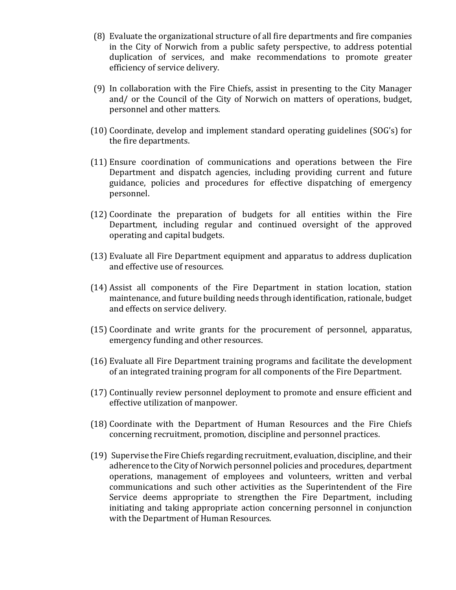- (8) Evaluate the organizational structure of all fire departments and fire companies in the City of Norwich from a public safety perspective, to address potential duplication of services, and make recommendations to promote greater efficiency of service delivery.
- (9) In collaboration with the Fire Chiefs, assist in presenting to the City Manager and/ or the Council of the City of Norwich on matters of operations, budget, personnel and other matters.
- (10) Coordinate, develop and implement standard operating guidelines (SOG's) for the fire departments.
- (11) Ensure coordination of communications and operations between the Fire Department and dispatch agencies, including providing current and future guidance, policies and procedures for effective dispatching of emergency personnel.
- (12) Coordinate the preparation of budgets for all entities within the Fire Department, including regular and continued oversight of the approved operating and capital budgets.
- (13) Evaluate all Fire Department equipment and apparatus to address duplication and effective use of resources.
- (14) Assist all components of the Fire Department in station location, station maintenance, and future building needs through identification, rationale, budget and effects on service delivery.
- (15) Coordinate and write grants for the procurement of personnel, apparatus, emergency funding and other resources.
- (16) Evaluate all Fire Department training programs and facilitate the development of an integrated training program for all components of the Fire Department.
- (17) Continually review personnel deployment to promote and ensure efficient and effective utilization of manpower.
- (18) Coordinate with the Department of Human Resources and the Fire Chiefs concerning recruitment, promotion, discipline and personnel practices.
- (19) Supervise the Fire Chiefs regarding recruitment, evaluation, discipline, and their adherence to the City of Norwich personnel policies and procedures, department operations, management of employees and volunteers, written and verbal communications and such other activities as the Superintendent of the Fire Service deems appropriate to strengthen the Fire Department, including initiating and taking appropriate action concerning personnel in conjunction with the Department of Human Resources.